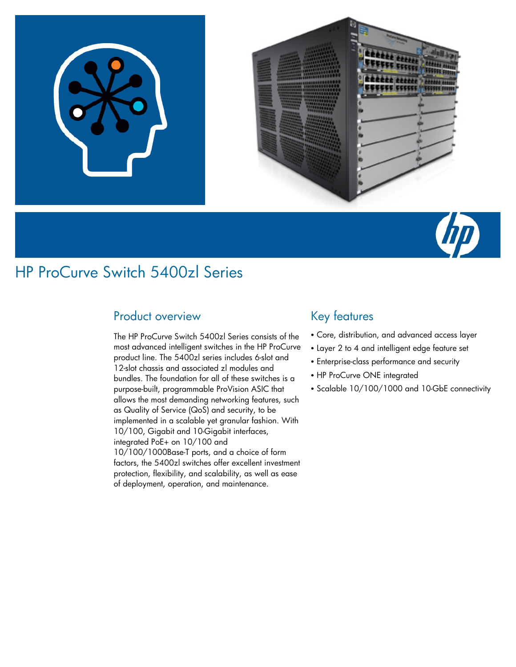



## Product overview

The HP ProCurve Switch 5400zl Series consists of the most advanced intelligent switches in the HP ProCurve product line. The 5400zl series includes 6-slot and 12-slot chassis and associated zl modules and bundles. The foundation for all of these switches is a purpose-built, programmable ProVision ASIC that allows the most demanding networking features, such as Quality of Service (QoS) and security, to be implemented in a scalable yet granular fashion. With 10/100, Gigabit and 10-Gigabit interfaces, integrated PoE+ on 10/100 and 10/100/1000Base-T ports, and a choice of form factors, the 5400zl switches offer excellent investment protection, flexibility, and scalability, as well as ease of deployment, operation, and maintenance.

## Key features

- Core, distribution, and advanced access layer
- Layer 2 to 4 and intelligent edge feature set
- Enterprise-class performance and security
- HP ProCurve ONE integrated
- Scalable 10/100/1000 and 10-GbE connectivity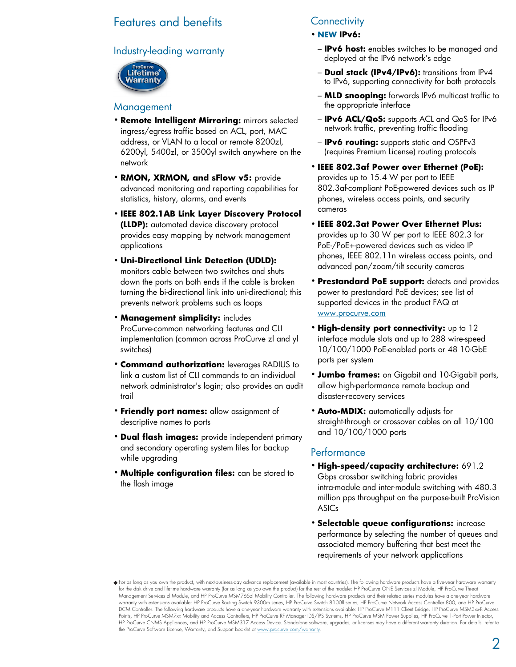## Features and benefits

## Industry-leading warranty



## **Management**

- **Remote Intelligent Mirroring:** mirrors selected ingress/egress traffic based on ACL, port, MAC address, or VLAN to a local or remote 8200zl, 6200yl, 5400zl, or 3500yl switch anywhere on the network
- **RMON, XRMON, and sFlow v5:** provide advanced monitoring and reporting capabilities for statistics, history, alarms, and events
- **IEEE 802.1AB Link Layer Discovery Protocol (LLDP):** automated device discovery protocol provides easy mapping by network management applications
- **Uni-Directional Link Detection (UDLD):** monitors cable between two switches and shuts down the ports on both ends if the cable is broken turning the bi-directional link into uni-directional; this prevents network problems such as loops
- **Management simplicity:** includes ProCurve-common networking features and CLI implementation (common across ProCurve zl and yl switches)
- **Command authorization:** leverages RADIUS to link a custom list of CLI commands to an individual network administrator's login; also provides an audit trail
- **Friendly port names:** allow assignment of descriptive names to ports
- **Dual flash images:** provide independent primary and secondary operating system files for backup while upgrading
- **Multiple configuration files:** can be stored to the flash image

## **Connectivity**

- **NEW IPv6:**
	- **IPv6 host:** enables switches to be managed and deployed at the IPv6 network's edge
- **Dual stack (IPv4/IPv6):** transitions from IPv4 to IPv6, supporting connectivity for both protocols
- **MLD snooping:** forwards IPv6 multicast traffic to the appropriate interface
- **IPv6 ACL/QoS:** supports ACL and QoS for IPv6 network traffic, preventing traffic flooding
- **IPv6 routing:** supports static and OSPFv3 (requires Premium License) routing protocols
- **IEEE 802.3af Power over Ethernet (PoE):** provides up to 15.4 W per port to IEEE 802.3af-compliant PoE-powered devices such as IP phones, wireless access points, and security cameras
- **IEEE 802.3at Power Over Ethernet Plus:** provides up to 30 W per port to IEEE 802.3 for PoE-/PoE+-powered devices such as video IP phones, IEEE 802.11n wireless access points, and advanced pan/zoom/tilt security cameras
- **Prestandard PoE support:** detects and provides power to prestandard PoE devices; see list of supported devices in the product FAQ at www.procurve.com
- **High-density port connectivity:** up to 12 interface module slots and up to 288 wire-speed 10/100/1000 PoE-enabled ports or 48 10-GbE ports per system
- **Jumbo frames:** on Gigabit and 10-Gigabit ports, allow high-performance remote backup and disaster-recovery services
- **Auto-MDIX:** automatically adjusts for straight-through or crossover cables on all 10/100 and 10/100/1000 ports

## Performance

- **High-speed/capacity architecture:** 691.2 Gbps crossbar switching fabric provides intra-module and inter-module switching with 480.3 million pps throughput on the purpose-built ProVision ASICs
- **Selectable queue configurations:** increase performance by selecting the number of queues and associated memory buffering that best meet the requirements of your network applications

For as long as you own the product, with next-business-day advance replacement (available in most countries). The following hardware products have a five-year hardware warranty for the disk drive and lifetime hardware warranty (for as long as you own the product) for the rest of the module: HP ProCurve ONE Services zl Module, HP ProCurve Threat Management Services zl Module, and HP ProCurve MSM765zl Mobility Controller. The following hardware products and their related series modules have a one-year hardware warranty with extensions available: HP ProCurve Routing Switch 9300m series, HP ProCurve Switch 8100fl series, HP ProCurve Network Access Controller 800, and HP ProCurve DCM Controller. The following hardware products have a one-year hardware warranty with extensions available: HP ProCurve M111 Client Bridge, HP ProCurve MSM3xx-R Access Points, HP ProCurve MSM7xx Mobility and Access Controllers, HP ProCurve RF Manager IDS/IPS Systems, HP ProCurve MSM Power Supplies, HP ProCurve 1-Port Power Injector, HP ProCurve CNMS Appliances, and HP ProCurve MSM317 Access Device. Standalone software, upgrades, or licenses may have a different warranty duration. For details, refer to the ProCurve Software License, Warranty, and Support booklet at www.procurve.com/warranty.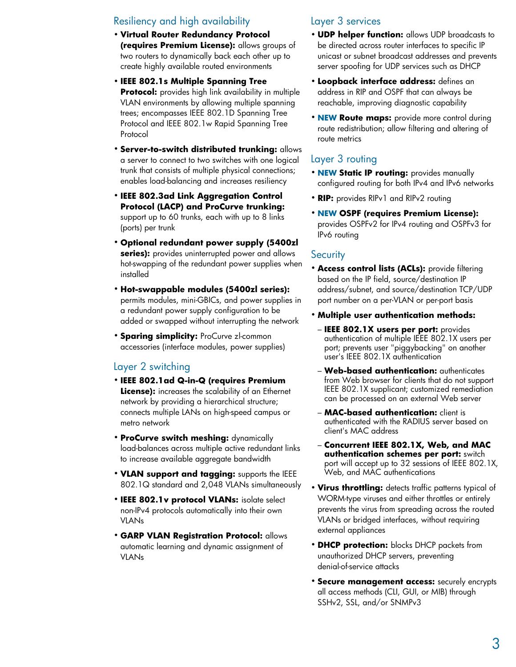## Resiliency and high availability

- **Virtual Router Redundancy Protocol (requires Premium License):** allows groups of two routers to dynamically back each other up to create highly available routed environments
- **IEEE 802.1s Multiple Spanning Tree Protocol:** provides high link availability in multiple VLAN environments by allowing multiple spanning trees; encompasses IEEE 802.1D Spanning Tree Protocol and IEEE 802.1w Rapid Spanning Tree Protocol
- **Server-to-switch distributed trunking:** allows a server to connect to two switches with one logical trunk that consists of multiple physical connections; enables load-balancing and increases resiliency
- **IEEE 802.3ad Link Aggregation Control Protocol (LACP) and ProCurve trunking:** support up to 60 trunks, each with up to 8 links (ports) per trunk
- **Optional redundant power supply (5400zl series):** provides uninterrupted power and allows hot-swapping of the redundant power supplies when installed
- **Hot-swappable modules (5400zl series):** permits modules, mini-GBICs, and power supplies in a redundant power supply configuration to be added or swapped without interrupting the network
- **Sparing simplicity:** ProCurve zl-common accessories (interface modules, power supplies)

## Layer 2 switching

- **IEEE 802.1ad Q-in-Q (requires Premium License):** increases the scalability of an Ethernet network by providing a hierarchical structure; connects multiple LANs on high-speed campus or metro network
- **ProCurve switch meshing:** dynamically load-balances across multiple active redundant links to increase available aggregate bandwidth
- **VLAN support and tagging:** supports the IEEE 802.1Q standard and 2,048 VLANs simultaneously
- **IEEE 802.1v protocol VLANs:** isolate select non-IPv4 protocols automatically into their own VLANs
- **GARP VLAN Registration Protocol:** allows automatic learning and dynamic assignment of VLANs

## Layer 3 services

- **UDP helper function:** allows UDP broadcasts to be directed across router interfaces to specific IP unicast or subnet broadcast addresses and prevents server spoofing for UDP services such as DHCP
- **Loopback interface address:** defines an address in RIP and OSPF that can always be reachable, improving diagnostic capability
- **NEW Route maps:** provide more control during route redistribution; allow filtering and altering of route metrics

## Layer 3 routing

- **NEW Static IP routing:** provides manually configured routing for both IPv4 and IPv6 networks
- **RIP:** provides RIPv1 and RIPv2 routing
- **NEW OSPF (requires Premium License):** provides OSPFv2 for IPv4 routing and OSPFv3 for IPv6 routing

### **Security**

- **Access control lists (ACLs):** provide filtering based on the IP field, source/destination IP address/subnet, and source/destination TCP/UDP port number on a per-VLAN or per-port basis
- **Multiple user authentication methods:**
	- **IEEE 802.1X users per port:** provides authentication of multiple IEEE 802.1X users per port; prevents user "piggybacking" on another user's IEEE 802.1X authentication
- **Web-based authentication:** authenticates from Web browser for clients that do not support IEEE 802.1X supplicant; customized remediation can be processed on an external Web server
- **MAC-based authentication:** client is authenticated with the RADIUS server based on client's MAC address
- **Concurrent IEEE 802.1X, Web, and MAC authentication schemes per port:** switch port will accept up to 32 sessions of IEEE 802.1X, Web, and MAC authentications
- **Virus throttling:** detects traffic patterns typical of WORM-type viruses and either throttles or entirely prevents the virus from spreading across the routed VLANs or bridged interfaces, without requiring external appliances
- **DHCP protection:** blocks DHCP packets from unauthorized DHCP servers, preventing denial-of-service attacks
- **Secure management access:** securely encrypts all access methods (CLI, GUI, or MIB) through SSHv2, SSL, and/or SNMPv3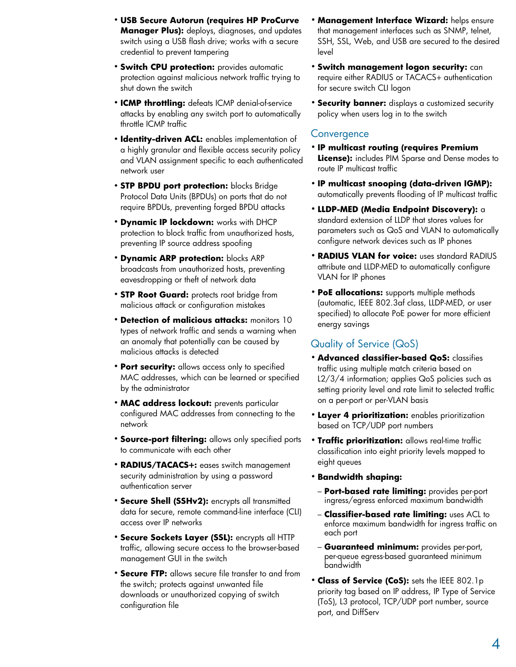- **USB Secure Autorun (requires HP ProCurve Manager Plus):** deploys, diagnoses, and updates switch using a USB flash drive; works with a secure credential to prevent tampering
- **Switch CPU protection:** provides automatic protection against malicious network traffic trying to shut down the switch
- **ICMP throttling:** defeats ICMP denial-of-service attacks by enabling any switch port to automatically throttle ICMP traffic
- **Identity-driven ACL:** enables implementation of a highly granular and flexible access security policy and VLAN assignment specific to each authenticated network user
- **STP BPDU port protection:** blocks Bridge Protocol Data Units (BPDUs) on ports that do not require BPDUs, preventing forged BPDU attacks
- **Dynamic IP lockdown:** works with DHCP protection to block traffic from unauthorized hosts, preventing IP source address spoofing
- **Dynamic ARP protection:** blocks ARP broadcasts from unauthorized hosts, preventing eavesdropping or theft of network data
- **STP Root Guard:** protects root bridge from malicious attack or configuration mistakes
- **Detection of malicious attacks:** monitors 10 types of network traffic and sends a warning when an anomaly that potentially can be caused by malicious attacks is detected
- **Port security:** allows access only to specified MAC addresses, which can be learned or specified by the administrator
- **MAC address lockout:** prevents particular configured MAC addresses from connecting to the network
- **Source-port filtering:** allows only specified ports to communicate with each other
- **RADIUS/TACACS+:** eases switch management security administration by using a password authentication server
- **Secure Shell (SSHv2):** encrypts all transmitted data for secure, remote command-line interface (CLI) access over IP networks
- **Secure Sockets Layer (SSL):** encrypts all HTTP traffic, allowing secure access to the browser-based management GUI in the switch
- **Secure FTP:** allows secure file transfer to and from the switch; protects against unwanted file downloads or unauthorized copying of switch configuration file
- **Management Interface Wizard:** helps ensure that management interfaces such as SNMP, telnet, SSH, SSL, Web, and USB are secured to the desired level
- **Switch management logon security:** can require either RADIUS or TACACS+ authentication for secure switch CLI logon
- **Security banner:** displays a customized security policy when users log in to the switch

## **Convergence**

- **IP multicast routing (requires Premium License):** includes PIM Sparse and Dense modes to route IP multicast traffic
- **IP multicast snooping (data-driven IGMP):** automatically prevents flooding of IP multicast traffic
- **LLDP-MED (Media Endpoint Discovery):** a standard extension of LLDP that stores values for parameters such as QoS and VLAN to automatically configure network devices such as IP phones
- **RADIUS VLAN for voice:** uses standard RADIUS attribute and LLDP-MED to automatically configure VLAN for IP phones
- **PoE allocations:** supports multiple methods (automatic, IEEE 802.3af class, LLDP-MED, or user specified) to allocate PoE power for more efficient energy savings

## Quality of Service (QoS)

- **Advanced classifier-based QoS:** classifies traffic using multiple match criteria based on L2/3/4 information; applies QoS policies such as setting priority level and rate limit to selected traffic on a per-port or per-VLAN basis
- **Layer 4 prioritization:** enables prioritization based on TCP/UDP port numbers
- **Traffic prioritization:** allows real-time traffic classification into eight priority levels mapped to eight queues
- **Bandwidth shaping:**
- **Port-based rate limiting:** provides per-port ingress/egress enforced maximum bandwidth
- **Classifier-based rate limiting:** uses ACL to enforce maximum bandwidth for ingress traffic on each port
- **Guaranteed minimum:** provides per-port, per-queue egress-based guaranteed minimum bandwidth
- **Class of Service (CoS):** sets the IEEE 802.1p priority tag based on IP address, IP Type of Service (ToS), L3 protocol, TCP/UDP port number, source port, and DiffServ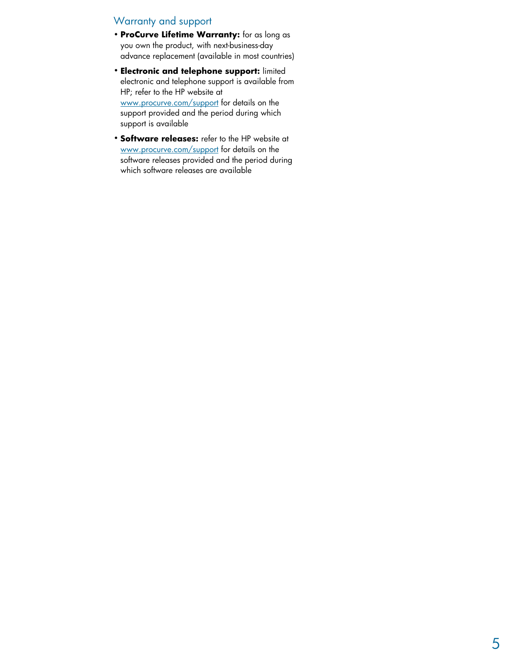## Warranty and support

- **ProCurve Lifetime Warranty:** for as long as you own the product, with next-business-day advance replacement (available in most countries)
- **Electronic and telephone support:** limited electronic and telephone support is available from HP; refer to the HP website at www.procurve.com/support for details on the support provided and the period during which support is available
- **Software releases:** refer to the HP website at www.procurve.com/support for details on the software releases provided and the period during which software releases are available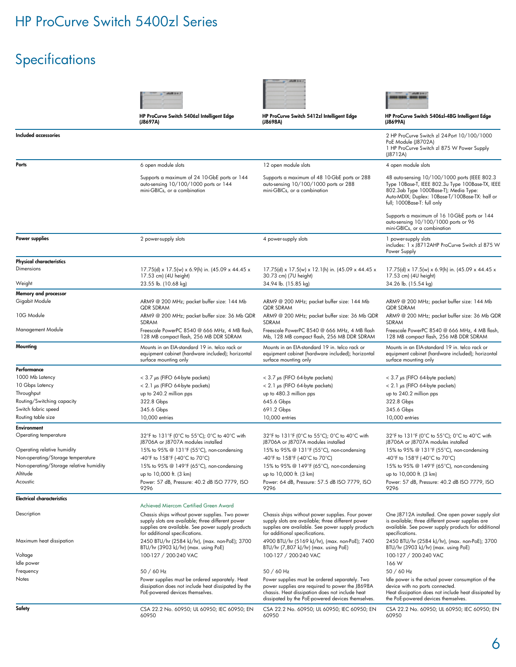# Specifications

| <b>Included accessories</b>                                      | HP ProCurve Switch 5406zl Intelligent Edge<br>(J8697A)                                                                                                                                                                                | HP ProCurve Switch 5412zl Intelligent Edge                                                                                                                                                   | HP ProCurve Switch 5406zl-48G Intelligent Edge<br>(J8699A)                                                                                                                                                                   |
|------------------------------------------------------------------|---------------------------------------------------------------------------------------------------------------------------------------------------------------------------------------------------------------------------------------|----------------------------------------------------------------------------------------------------------------------------------------------------------------------------------------------|------------------------------------------------------------------------------------------------------------------------------------------------------------------------------------------------------------------------------|
|                                                                  |                                                                                                                                                                                                                                       | (J8698A)                                                                                                                                                                                     |                                                                                                                                                                                                                              |
|                                                                  |                                                                                                                                                                                                                                       |                                                                                                                                                                                              | 2 HP ProCurve Switch zl 24-Port 10/100/1000<br>PoE Module (J8702A)<br>1 HP ProCurve Switch zl 875 W Power Supply<br>(J8712A)                                                                                                 |
| Ports                                                            | 6 open module slots                                                                                                                                                                                                                   | 12 open module slots                                                                                                                                                                         | 4 open module slots                                                                                                                                                                                                          |
|                                                                  | Supports a maximum of 24 10-GbE ports or 144<br>auto-sensing 10/100/1000 ports or 144<br>mini-GBICs, or a combination                                                                                                                 | Supports a maximum of 48 10-GbE ports or 288<br>auto-sensing 10/100/1000 ports or 288<br>mini-GBICs, or a combination                                                                        | 48 auto-sensing 10/100/1000 ports (IEEE 802.3<br>Type 10Base-T, IEEE 802.3u Type 100Base-TX, IEEE<br>802.3ab Type 1000Base-T); Media Type:<br>Auto-MDIX; Duplex: 10Base-T/100Base-TX: half or<br>full; 1000Base-T: full only |
|                                                                  |                                                                                                                                                                                                                                       |                                                                                                                                                                                              | Supports a maximum of 16 10-GbE ports or 144<br>auto-sensing 10/100/1000 ports or 96<br>mini-GBICs, or a combination                                                                                                         |
| Power supplies                                                   | 2 power-supply slots                                                                                                                                                                                                                  | 4 power-supply slots                                                                                                                                                                         | 1 power-supply slots<br>includes: 1 x J8712AHP ProCurve Switch zl 875 W<br>Power Supply                                                                                                                                      |
| <b>Physical characteristics</b>                                  |                                                                                                                                                                                                                                       |                                                                                                                                                                                              |                                                                                                                                                                                                                              |
| Dimensions<br>Weight                                             | 17.75(d) x 17.5(w) x 6.9(h) in. (45.09 x 44.45 x<br>17.53 cm) (4U height)<br>23.55 lb. (10.68 kg)                                                                                                                                     | 17.75(d) x 17.5(w) x 12.1(h) in. (45.09 x 44.45 x<br>30.73 cm) (7U height)<br>34.94 lb. (15.85 kg)                                                                                           | 17.75(d) x 17.5(w) x 6.9(h) in. (45.09 x 44.45 x<br>17.53 cm) (4U height)<br>34.26 lb. (15.54 kg)                                                                                                                            |
| Memory and processor                                             |                                                                                                                                                                                                                                       |                                                                                                                                                                                              |                                                                                                                                                                                                                              |
| Gigabit Module                                                   | ARM9 @ 200 MHz; packet buffer size: 144 Mb<br><b>QDR SDRAM</b>                                                                                                                                                                        | ARM9 @ 200 MHz; packet buffer size: 144 Mb<br><b>QDR SDRAM</b>                                                                                                                               | ARM9 @ 200 MHz; packet buffer size: 144 Mb<br><b>QDR SDRAM</b>                                                                                                                                                               |
| 10G Module                                                       | ARM9 @ 200 MHz; packet buffer size: 36 Mb QDR<br>SDRAM                                                                                                                                                                                | ARM9 @ 200 MHz; packet buffer size: 36 Mb QDR<br><b>SDRAM</b>                                                                                                                                | ARM9 @ 200 MHz; packet buffer size: 36 Mb QDR<br>SDRAM                                                                                                                                                                       |
| Management Module                                                | Freescale PowerPC 8540 @ 666 MHz, 4 MB flash,<br>128 MB compact flash, 256 MB DDR SDRAM                                                                                                                                               | Freescale PowerPC 8540 @ 666 MHz, 4 MB flash<br>Mb, 128 MB compact flash, 256 MB DDR SDRAM                                                                                                   | Freescale PowerPC 8540 @ 666 MHz, 4 MB flash,<br>128 MB compact flash, 256 MB DDR SDRAM                                                                                                                                      |
| Mounting                                                         | Mounts in an EIA-standard 19 in. telco rack or<br>equipment cabinet (hardware included); horizontal<br>surface mounting only                                                                                                          | Mounts in an EIA-standard 19 in. telco rack or<br>equipment cabinet (hardware included); horizontal<br>surface mounting only                                                                 | Mounts in an EIA-standard 19 in. telco rack or<br>equipment cabinet (hardware included); horizontal<br>surface mounting only                                                                                                 |
| Performance                                                      |                                                                                                                                                                                                                                       |                                                                                                                                                                                              |                                                                                                                                                                                                                              |
| 1000 Mb Latency                                                  | $<$ 3.7 $\mu$ s (FIFO 64-byte packets)                                                                                                                                                                                                | $< 3.7 \mu s$ (FIFO 64-byte packets)                                                                                                                                                         | $<$ 3.7 $\mu$ s (FIFO 64-byte packets)                                                                                                                                                                                       |
| 10 Gbps Latency                                                  | $< 2.1 \mu s$ (FIFO 64-byte packets)                                                                                                                                                                                                  | $< 2.1 \mu s$ (FIFO 64-byte packets)                                                                                                                                                         | $< 2.1 \mu s$ (FIFO 64-byte packets)                                                                                                                                                                                         |
| Throughput                                                       | up to 240.2 million pps                                                                                                                                                                                                               | up to 480.3 million pps                                                                                                                                                                      | up to 240.2 million pps                                                                                                                                                                                                      |
| Routing/Switching capacity                                       | 322.8 Gbps                                                                                                                                                                                                                            | 645.6 Gbps                                                                                                                                                                                   | 322.8 Gbps                                                                                                                                                                                                                   |
| Switch fabric speed                                              | 345.6 Gbps                                                                                                                                                                                                                            | 691.2 Gbps                                                                                                                                                                                   | 345.6 Gbps                                                                                                                                                                                                                   |
| Routing table size                                               | 10,000 entries                                                                                                                                                                                                                        | 10,000 entries                                                                                                                                                                               | 10,000 entries                                                                                                                                                                                                               |
| <b>Environment</b>                                               |                                                                                                                                                                                                                                       |                                                                                                                                                                                              |                                                                                                                                                                                                                              |
| Operating temperature                                            | 32°F to 131°F (0°C to 55°C); 0°C to 40°C with<br>J8706A or J8707A modules installed                                                                                                                                                   | 32°F to 131°F (0°C to 55°C); 0°C to 40°C with<br>J8706A or J8707A modules installed                                                                                                          | 32°F to 131°F (0°C to 55°C); 0°C to 40°C with<br>J8706A or J8707A modules installed                                                                                                                                          |
| Operating relative humidity<br>Non-operating/Storage temperature | 15% to 95% @ 131°F (55°C), non-condensing<br>-40°F to 158°F (-40°C to 70°C)                                                                                                                                                           | 15% to 95% @ 131°F (55°C), non-condensing<br>-40°F to 158°F (-40°C to 70°C)                                                                                                                  | 15% to 95% @ 131°F (55°C), non-condensing<br>-40°F to 158°F (-40°C to 70°C)                                                                                                                                                  |
| Non-operating/Storage relative humidity                          | 15% to 95% @ 149°F (65°C), non-condensing                                                                                                                                                                                             | 15% to 95% @ 149°F (65°C), non-condensing                                                                                                                                                    | 15% to 95% @ 149°F (65°C), non-condensing                                                                                                                                                                                    |
| Altitude                                                         | up to 10,000 ft. (3 km)                                                                                                                                                                                                               | up to 10,000 ft. (3 km)                                                                                                                                                                      | up to 10,000 ft. (3 km)                                                                                                                                                                                                      |
| Acoustic                                                         | Power: 57 dB, Pressure: 40.2 dB ISO 7779, ISO<br>9296                                                                                                                                                                                 | Power: 64 dB, Pressure: 57.5 dB ISO 7779, ISO<br>9296                                                                                                                                        | Power: 57 dB, Pressure: 40.2 dB ISO 7779, ISO<br>9296                                                                                                                                                                        |
| <b>Electrical characteristics</b>                                |                                                                                                                                                                                                                                       |                                                                                                                                                                                              |                                                                                                                                                                                                                              |
| Description                                                      | Achieved Miercom Certified Green Award<br>Chassis ships without power supplies. Two power<br>supply slots are available; three different power<br>supplies are available. See power supply products<br>for additional specifications. | Chassis ships without power supplies. Four power<br>supply slots are available; three different power<br>supplies are available. See power supply products<br>for additional specifications. | One J8712A installed. One open power supply slot<br>is available; three different power supplies are<br>available. See power supply products for additional<br>specifications.                                               |
| Maximum heat dissipation                                         | 2450 BTU/hr (2584 kJ/hr), (max. non-PoE); 3700<br>BTU/hr (3903 kJ/hr) (max. using PoE)                                                                                                                                                | 4900 BTU/hr (5169 kJ/hr), (max. non-PoE); 7400<br>BTU/hr (7,807 kJ/hr) (max. using PoE)                                                                                                      | 2450 BTU/hr (2584 kJ/hr), (max. non-PoE); 3700<br>BTU/hr (3903 kJ/hr) (max. using PoE)                                                                                                                                       |
| Voltage                                                          | 100-127 / 200-240 VAC                                                                                                                                                                                                                 | 100-127 / 200-240 VAC                                                                                                                                                                        | 100-127 / 200-240 VAC                                                                                                                                                                                                        |
| Idle power                                                       |                                                                                                                                                                                                                                       |                                                                                                                                                                                              | 166 W                                                                                                                                                                                                                        |
| Frequency<br>Notes                                               | 50 / 60 Hz<br>Power supplies must be ordered separately. Heat<br>dissipation does not include heat dissipated by the<br>PoE-powered devices themselves.                                                                               | 50 / 60 Hz<br>Power supplies must be ordered separately. Two<br>power supplies are required to power the J8698A<br>chassis. Heat dissipation does not include heat                           | 50 / 60 Hz<br>Idle power is the actual power consumption of the<br>device with no ports connected.<br>Heat dissipation does not include heat dissipated by                                                                   |
| Safety                                                           | CSA 22.2 No. 60950; UL 60950; IEC 60950; EN<br>60950                                                                                                                                                                                  | dissipated by the PoE-powered devices themselves.<br>CSA 22.2 No. 60950; UL 60950; IEC 60950; EN<br>60950                                                                                    | the PoE-powered devices themselves.<br>CSA 22.2 No. 60950; UL 60950; IEC 60950; EN<br>60950                                                                                                                                  |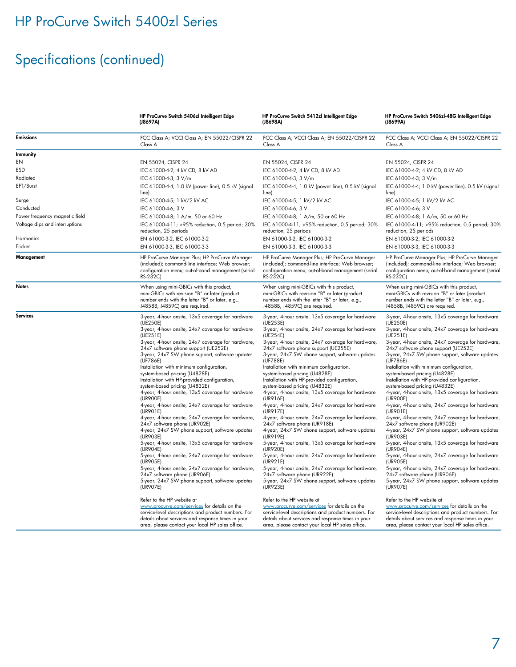# Specifications (continued)

|                                | HP ProCurve Switch 5406zl Intelligent Edge<br>(J8697A)                                                                                                                                                                                                                                                                                                                                                                                                                                                                                                                                                                                                                                                                                                                                                                                                                                                                                                                                                                                                                                                                                                                                                                                                                                | HP ProCurve Switch 5412zl Intelligent Edge<br>(J8698A)                                                                                                                                                                                                                                                                                                                                                                                                                                                                                                                                                                                                                                                                                                                                                                                                                                                                                                                                                                                                                                                                                                                                                                                                                                | HP ProCurve Switch 5406zl-48G Intelligent Edge<br>(J8699A)                                                                                                                                                                                                                                                                                                                                                                                                                                                                                                                                                                                                                                                                                                                                                                                                                                                                                                                                                                                                                                                                                                                                                                                                                            |
|--------------------------------|---------------------------------------------------------------------------------------------------------------------------------------------------------------------------------------------------------------------------------------------------------------------------------------------------------------------------------------------------------------------------------------------------------------------------------------------------------------------------------------------------------------------------------------------------------------------------------------------------------------------------------------------------------------------------------------------------------------------------------------------------------------------------------------------------------------------------------------------------------------------------------------------------------------------------------------------------------------------------------------------------------------------------------------------------------------------------------------------------------------------------------------------------------------------------------------------------------------------------------------------------------------------------------------|---------------------------------------------------------------------------------------------------------------------------------------------------------------------------------------------------------------------------------------------------------------------------------------------------------------------------------------------------------------------------------------------------------------------------------------------------------------------------------------------------------------------------------------------------------------------------------------------------------------------------------------------------------------------------------------------------------------------------------------------------------------------------------------------------------------------------------------------------------------------------------------------------------------------------------------------------------------------------------------------------------------------------------------------------------------------------------------------------------------------------------------------------------------------------------------------------------------------------------------------------------------------------------------|---------------------------------------------------------------------------------------------------------------------------------------------------------------------------------------------------------------------------------------------------------------------------------------------------------------------------------------------------------------------------------------------------------------------------------------------------------------------------------------------------------------------------------------------------------------------------------------------------------------------------------------------------------------------------------------------------------------------------------------------------------------------------------------------------------------------------------------------------------------------------------------------------------------------------------------------------------------------------------------------------------------------------------------------------------------------------------------------------------------------------------------------------------------------------------------------------------------------------------------------------------------------------------------|
| <b>Emissions</b>               | FCC Class A; VCCI Class A; EN 55022/CISPR 22<br>Class A                                                                                                                                                                                                                                                                                                                                                                                                                                                                                                                                                                                                                                                                                                                                                                                                                                                                                                                                                                                                                                                                                                                                                                                                                               | FCC Class A; VCCI Class A; EN 55022/CISPR 22<br>Class A                                                                                                                                                                                                                                                                                                                                                                                                                                                                                                                                                                                                                                                                                                                                                                                                                                                                                                                                                                                                                                                                                                                                                                                                                               | FCC Class A; VCCI Class A; EN 55022/CISPR 22<br>Class A                                                                                                                                                                                                                                                                                                                                                                                                                                                                                                                                                                                                                                                                                                                                                                                                                                                                                                                                                                                                                                                                                                                                                                                                                               |
| <b>Immunity</b>                |                                                                                                                                                                                                                                                                                                                                                                                                                                                                                                                                                                                                                                                                                                                                                                                                                                                                                                                                                                                                                                                                                                                                                                                                                                                                                       |                                                                                                                                                                                                                                                                                                                                                                                                                                                                                                                                                                                                                                                                                                                                                                                                                                                                                                                                                                                                                                                                                                                                                                                                                                                                                       |                                                                                                                                                                                                                                                                                                                                                                                                                                                                                                                                                                                                                                                                                                                                                                                                                                                                                                                                                                                                                                                                                                                                                                                                                                                                                       |
| EN                             | EN 55024, CISPR 24                                                                                                                                                                                                                                                                                                                                                                                                                                                                                                                                                                                                                                                                                                                                                                                                                                                                                                                                                                                                                                                                                                                                                                                                                                                                    | EN 55024, CISPR 24                                                                                                                                                                                                                                                                                                                                                                                                                                                                                                                                                                                                                                                                                                                                                                                                                                                                                                                                                                                                                                                                                                                                                                                                                                                                    | EN 55024, CISPR 24                                                                                                                                                                                                                                                                                                                                                                                                                                                                                                                                                                                                                                                                                                                                                                                                                                                                                                                                                                                                                                                                                                                                                                                                                                                                    |
| ESD                            | IEC 61000-4-2; 4 kV CD, 8 kV AD                                                                                                                                                                                                                                                                                                                                                                                                                                                                                                                                                                                                                                                                                                                                                                                                                                                                                                                                                                                                                                                                                                                                                                                                                                                       | IEC 61000-4-2; 4 kV CD, 8 kV AD                                                                                                                                                                                                                                                                                                                                                                                                                                                                                                                                                                                                                                                                                                                                                                                                                                                                                                                                                                                                                                                                                                                                                                                                                                                       | IEC 61000-4-2; 4 kV CD, 8 kV AD                                                                                                                                                                                                                                                                                                                                                                                                                                                                                                                                                                                                                                                                                                                                                                                                                                                                                                                                                                                                                                                                                                                                                                                                                                                       |
| Radiated                       | IEC 61000-4-3; 3 V/m                                                                                                                                                                                                                                                                                                                                                                                                                                                                                                                                                                                                                                                                                                                                                                                                                                                                                                                                                                                                                                                                                                                                                                                                                                                                  | IEC 61000-4-3; 3 V/m                                                                                                                                                                                                                                                                                                                                                                                                                                                                                                                                                                                                                                                                                                                                                                                                                                                                                                                                                                                                                                                                                                                                                                                                                                                                  | IEC 61000-4-3; 3 V/m                                                                                                                                                                                                                                                                                                                                                                                                                                                                                                                                                                                                                                                                                                                                                                                                                                                                                                                                                                                                                                                                                                                                                                                                                                                                  |
| EFT/Burst                      | IEC 61000-4-4; 1.0 kV (power line), 0.5 kV (signal<br>line)                                                                                                                                                                                                                                                                                                                                                                                                                                                                                                                                                                                                                                                                                                                                                                                                                                                                                                                                                                                                                                                                                                                                                                                                                           | IEC 61000-4-4; 1.0 kV (power line), 0.5 kV (signal<br>line)                                                                                                                                                                                                                                                                                                                                                                                                                                                                                                                                                                                                                                                                                                                                                                                                                                                                                                                                                                                                                                                                                                                                                                                                                           | IEC 61000-4-4; 1.0 kV (power line), 0.5 kV (signal<br>line)                                                                                                                                                                                                                                                                                                                                                                                                                                                                                                                                                                                                                                                                                                                                                                                                                                                                                                                                                                                                                                                                                                                                                                                                                           |
| Surge                          | IEC 61000-4-5; 1 kV/2 kV AC                                                                                                                                                                                                                                                                                                                                                                                                                                                                                                                                                                                                                                                                                                                                                                                                                                                                                                                                                                                                                                                                                                                                                                                                                                                           | IEC 61000-4-5; 1 kV/2 kV AC                                                                                                                                                                                                                                                                                                                                                                                                                                                                                                                                                                                                                                                                                                                                                                                                                                                                                                                                                                                                                                                                                                                                                                                                                                                           | IEC 61000-4-5; 1 kV/2 kV AC                                                                                                                                                                                                                                                                                                                                                                                                                                                                                                                                                                                                                                                                                                                                                                                                                                                                                                                                                                                                                                                                                                                                                                                                                                                           |
| Conducted                      | IEC 61000-4-6; 3 V                                                                                                                                                                                                                                                                                                                                                                                                                                                                                                                                                                                                                                                                                                                                                                                                                                                                                                                                                                                                                                                                                                                                                                                                                                                                    | IEC 61000-4-6; 3 V                                                                                                                                                                                                                                                                                                                                                                                                                                                                                                                                                                                                                                                                                                                                                                                                                                                                                                                                                                                                                                                                                                                                                                                                                                                                    | IEC 61000-4-6; 3 V                                                                                                                                                                                                                                                                                                                                                                                                                                                                                                                                                                                                                                                                                                                                                                                                                                                                                                                                                                                                                                                                                                                                                                                                                                                                    |
| Power frequency magnetic field | IEC 61000-4-8; 1 A/m, 50 or 60 Hz                                                                                                                                                                                                                                                                                                                                                                                                                                                                                                                                                                                                                                                                                                                                                                                                                                                                                                                                                                                                                                                                                                                                                                                                                                                     | IEC 61000-4-8; 1 A/m, 50 or 60 Hz                                                                                                                                                                                                                                                                                                                                                                                                                                                                                                                                                                                                                                                                                                                                                                                                                                                                                                                                                                                                                                                                                                                                                                                                                                                     | IEC 61000-4-8; 1 A/m, 50 or 60 Hz                                                                                                                                                                                                                                                                                                                                                                                                                                                                                                                                                                                                                                                                                                                                                                                                                                                                                                                                                                                                                                                                                                                                                                                                                                                     |
| Voltage dips and interruptions | IEC 61000-4-11; >95% reduction, 0.5 period; 30%<br>reduction, 25 periods                                                                                                                                                                                                                                                                                                                                                                                                                                                                                                                                                                                                                                                                                                                                                                                                                                                                                                                                                                                                                                                                                                                                                                                                              | IEC 61000-4-11; >95% reduction, 0.5 period; 30%<br>reduction, 25 periods                                                                                                                                                                                                                                                                                                                                                                                                                                                                                                                                                                                                                                                                                                                                                                                                                                                                                                                                                                                                                                                                                                                                                                                                              | IEC 61000-4-11; >95% reduction, 0.5 period; 30%<br>reduction, 25 periods                                                                                                                                                                                                                                                                                                                                                                                                                                                                                                                                                                                                                                                                                                                                                                                                                                                                                                                                                                                                                                                                                                                                                                                                              |
| Harmonics                      | EN 61000-3-2, IEC 61000-3-2                                                                                                                                                                                                                                                                                                                                                                                                                                                                                                                                                                                                                                                                                                                                                                                                                                                                                                                                                                                                                                                                                                                                                                                                                                                           | EN 61000-3-2, IEC 61000-3-2                                                                                                                                                                                                                                                                                                                                                                                                                                                                                                                                                                                                                                                                                                                                                                                                                                                                                                                                                                                                                                                                                                                                                                                                                                                           | EN 61000-3-2, IEC 61000-3-2                                                                                                                                                                                                                                                                                                                                                                                                                                                                                                                                                                                                                                                                                                                                                                                                                                                                                                                                                                                                                                                                                                                                                                                                                                                           |
| Flicker                        | EN 61000-3-3, IEC 61000-3-3                                                                                                                                                                                                                                                                                                                                                                                                                                                                                                                                                                                                                                                                                                                                                                                                                                                                                                                                                                                                                                                                                                                                                                                                                                                           | EN 61000-3-3, IEC 61000-3-3                                                                                                                                                                                                                                                                                                                                                                                                                                                                                                                                                                                                                                                                                                                                                                                                                                                                                                                                                                                                                                                                                                                                                                                                                                                           | EN 61000-3-3, IEC 61000-3-3                                                                                                                                                                                                                                                                                                                                                                                                                                                                                                                                                                                                                                                                                                                                                                                                                                                                                                                                                                                                                                                                                                                                                                                                                                                           |
| Management                     | HP ProCurve Manager Plus; HP ProCurve Manager<br>(included); command-line interface; Web browser;<br>configuration menu; out-of-band management (serial<br>RS-232C)                                                                                                                                                                                                                                                                                                                                                                                                                                                                                                                                                                                                                                                                                                                                                                                                                                                                                                                                                                                                                                                                                                                   | HP ProCurve Manager Plus; HP ProCurve Manager<br>(included); command-line interface; Web browser;<br>configuration menu; out-of-band management (serial<br>RS-232C)                                                                                                                                                                                                                                                                                                                                                                                                                                                                                                                                                                                                                                                                                                                                                                                                                                                                                                                                                                                                                                                                                                                   | HP ProCurve Manager Plus; HP ProCurve Manager<br>(included); command-line interface; Web browser;<br>configuration menu; out-of-band management (serial<br>RS-232C)                                                                                                                                                                                                                                                                                                                                                                                                                                                                                                                                                                                                                                                                                                                                                                                                                                                                                                                                                                                                                                                                                                                   |
| <b>Notes</b>                   | When using mini-GBICs with this product,<br>mini-GBICs with revision "B" or later (product<br>number ends with the letter "B" or later, e.g.,<br>J4858B, J4859C) are required.                                                                                                                                                                                                                                                                                                                                                                                                                                                                                                                                                                                                                                                                                                                                                                                                                                                                                                                                                                                                                                                                                                        | When using mini-GBICs with this product,<br>mini-GBICs with revision "B" or later (product<br>number ends with the letter "B" or later, e.g.,<br>J4858B, J4859C) are required.                                                                                                                                                                                                                                                                                                                                                                                                                                                                                                                                                                                                                                                                                                                                                                                                                                                                                                                                                                                                                                                                                                        | When using mini-GBICs with this product,<br>mini-GBICs with revision "B" or later (product<br>number ends with the letter "B" or later, e.g.,<br>J4858B, J4859C) are required.                                                                                                                                                                                                                                                                                                                                                                                                                                                                                                                                                                                                                                                                                                                                                                                                                                                                                                                                                                                                                                                                                                        |
| <b>Services</b>                | 3-year, 4-hour onsite, 13x5 coverage for hardware<br>(UE250E)<br>3-year, 4-hour onsite, 24x7 coverage for hardware<br>(UE251E)<br>3-year, 4-hour onsite, 24x7 coverage for hardware,<br>24x7 software phone support (UE252E)<br>3-year, 24x7 SW phone support, software updates<br>(UF786E)<br>Installation with minimum configuration,<br>system-based pricing (U4828E)<br>Installation with HP-provided configuration,<br>system-based pricing (U4832E)<br>4-year, 4-hour onsite, 13x5 coverage for hardware<br>(UR900E)<br>4-year, 4-hour onsite, 24x7 coverage for hardware<br>(UR901E)<br>4-year, 4-hour onsite, 24x7 coverage for hardware,<br>24x7 software phone (UR902E)<br>4-year, 24x7 SW phone support, software updates<br>(UR903E)<br>5-year, 4-hour onsite, 13x5 coverage for hardware<br>(UR904E)<br>5-year, 4-hour onsite, 24x7 coverage for hardware<br>(UR905E)<br>5-year, 4-hour onsite, 24x7 coverage for hardware,<br>24x7 software phone (UR906E)<br>5-year, 24x7 SW phone support, software updates<br>(UR907E)<br>Refer to the HP website at<br>www.procurve.com/services for details on the<br>service-level descriptions and product numbers. For<br>details about services and response times in your<br>area, please contact your local HP sales office. | 3-year, 4-hour onsite, 13x5 coverage for hardware<br>(UE253E)<br>3-year, 4-hour onsite, 24x7 coverage for hardware<br>(UE254E)<br>3-year, 4-hour onsite, 24x7 coverage for hardware,<br>24x7 software phone support (UE255E)<br>3-year, 24x7 SW phone support, software updates<br>(UF788E)<br>Installation with minimum configuration,<br>system-based pricing (U4828E)<br>Installation with HP-provided configuration,<br>system-based pricing (U4832E)<br>4-year, 4-hour onsite, 13x5 coverage for hardware<br>(UR916E)<br>4-year, 4-hour onsite, 24x7 coverage for hardware<br>(UR917E)<br>4-year, 4-hour onsite, 24x7 coverage for hardware,<br>24x7 software phone (UR918E)<br>4-year, 24x7 SW phone support, software updates<br>(UR919E)<br>5-year, 4-hour onsite, 13x5 coverage for hardware<br>(UR920E)<br>5-year, 4-hour onsite, 24x7 coverage for hardware<br>(UR921E)<br>5-year, 4-hour onsite, 24x7 coverage for hardware,<br>24x7 software phone (UR922E)<br>5-year, 24x7 SW phone support, software updates<br>(UR923E)<br>Refer to the HP website at<br>www.procurve.com/services for details on the<br>service-level descriptions and product numbers. For<br>details about services and response times in your<br>area, please contact your local HP sales office. | 3-year, 4-hour onsite, 13x5 coverage for hardware<br>(UE250E)<br>3-year, 4-hour onsite, 24x7 coverage for hardware<br>(UE251E)<br>3-year, 4-hour onsite, 24x7 coverage for hardware,<br>24x7 software phone support (UE252E)<br>3-year, 24x7 SW phone support, software updates<br>(UF786E)<br>Installation with minimum configuration,<br>system-based pricing (U4828E)<br>Installation with HP-provided configuration,<br>system-based pricing (U4832E)<br>4-year, 4-hour onsite, 13x5 coverage for hardware<br>(UR900E)<br>4-year, 4-hour onsite, 24x7 coverage for hardware<br>(UR901E)<br>4-year, 4-hour onsite, 24x7 coverage for hardware,<br>24x7 software phone (UR902E)<br>4-year, 24x7 SW phone support, software updates<br>(UR903E)<br>5-year, 4-hour onsite, 13x5 coverage for hardware<br>(UR904E)<br>5-year, 4-hour onsite, 24x7 coverage for hardware<br>(UR905E)<br>5-year, 4-hour onsite, 24x7 coverage for hardware,<br>24x7 software phone (UR906E)<br>5-year, 24x7 SW phone support, software updates<br>(UR907E)<br>Refer to the HP website at<br>www.procurve.com/services for details on the<br>service-level descriptions and product numbers. For<br>details about services and response times in your<br>area, please contact your local HP sales office. |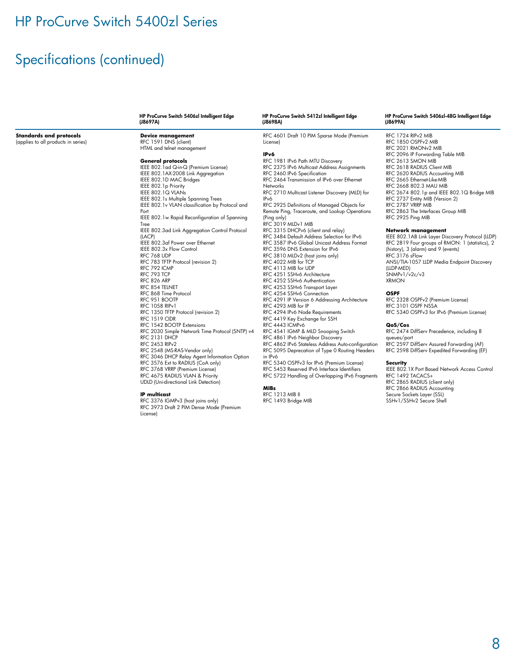# Specifications (continued)

|                                     | HP ProCurve Switch 5406zl Intelligent Edge<br>(J8697A) | HP ProCurve Switch 5412zl Intelligent Edge<br>(J8698A) | HP ProCurve Switch 5406zl-48G Intelligent Edge<br>(J8699A) |
|-------------------------------------|--------------------------------------------------------|--------------------------------------------------------|------------------------------------------------------------|
| <b>Standards and protocols</b>      | <b>Device management</b>                               | RFC 4601 Draft 10 PIM Sparse Mode (Premium             | RFC 1724 RIPv2 MIB                                         |
| (applies to all products in series) | RFC 1591 DNS (client)                                  | License)                                               | RFC 1850 OSPFv2 MIB                                        |
|                                     | HTML and telnet management                             |                                                        | RFC 2021 RMONv2 MIB                                        |
|                                     |                                                        | IPv6                                                   | RFC 2096 IP Forwarding Table MIB                           |
|                                     | <b>General protocols</b>                               | RFC 1981 IPv6 Path MTU Discovery                       | RFC 2613 SMON MIB                                          |
|                                     | IEEE 802.1ad Q-in-Q (Premium License)                  | RFC 2375 IPv6 Multicast Address Assignments            | RFC 2618 RADIUS Client MIB                                 |
|                                     | IEEE 802.1AX-2008 Link Aggregation                     | RFC 2460 IPv6 Specification                            | RFC 2620 RADIUS Accounting MIB                             |
|                                     | IEEE 802.1D MAC Bridges                                | RFC 2464 Transmission of IPv6 over Ethernet            | RFC 2665 Ethernet-Like-MIB                                 |
|                                     | IEEE 802.1p Priority                                   | <b>Networks</b>                                        | RFC 2668 802.3 MAU MIB                                     |
|                                     | IEEE 802.1Q VLANs                                      | RFC 2710 Multicast Listener Discovery (MLD) for        | RFC 2674 802.1p and IEEE 802.1Q Bridge MIB                 |
|                                     | IEEE 802.1s Multiple Spanning Trees                    | IP <sub>v</sub> 6                                      | RFC 2737 Entity MIB (Version 2)                            |
|                                     | IEEE 802.1v VLAN classification by Protocol and        | RFC 2925 Definitions of Managed Objects for            | RFC 2787 VRRP MIB                                          |
|                                     | Port                                                   | Remote Ping, Traceroute, and Lookup Operations         | RFC 2863 The Interfaces Group MIB                          |
|                                     | IEEE 802.1w Rapid Reconfiguration of Spanning          | (Ping only)                                            | RFC 2925 Ping MIB                                          |
|                                     | Tree                                                   | RFC 3019 MLDv1 MIB                                     |                                                            |
|                                     | IEEE 802.3ad Link Aggregation Control Protocol         | RFC 3315 DHCPv6 (client and relay)                     | <b>Network management</b>                                  |
|                                     | (LACP)                                                 | RFC 3484 Default Address Selection for IPv6            | IEEE 802.1AB Link Layer Discovery Protocol (LLDP)          |
|                                     | IEEE 802.3af Power over Ethernet                       | RFC 3587 IPv6 Global Unicast Address Format            | RFC 2819 Four groups of RMON: 1 (statistics), 2            |
|                                     | IEEE 802.3x Flow Control                               | RFC 3596 DNS Extension for IPv6                        | (history), 3 (alarm) and 9 (events)                        |
|                                     | RFC 768 UDP                                            | RFC 3810 MLDv2 (host joins only)                       | RFC 3176 sFlow                                             |
|                                     | RFC 783 TFTP Protocol (revision 2)                     | RFC 4022 MIB for TCP                                   | ANSI/TIA-1057 LLDP Media Endpoint Discovery                |
|                                     | RFC 792 ICMP                                           | RFC 4113 MIB for UDP                                   | (LLDP-MED)                                                 |
|                                     | RFC 793 TCP                                            | RFC 4251 SSHv6 Architecture                            | SNMPv1/v2c/v3                                              |
|                                     | RFC 826 ARP                                            | RFC 4252 SSHv6 Authentication                          | <b>XRMON</b>                                               |
|                                     | RFC 854 TELNET                                         | RFC 4253 SSHv6 Transport Layer                         |                                                            |
|                                     | RFC 868 Time Protocol                                  | RFC 4254 SSHv6 Connection                              | <b>OSPF</b>                                                |
|                                     | RFC 951 BOOTP                                          | RFC 4291 IP Version 6 Addressing Architecture          | RFC 2328 OSPFv2 (Premium License)                          |
|                                     | <b>RFC 1058 RIPv1</b>                                  | RFC 4293 MIB for IP                                    | RFC 3101 OSPF NSSA                                         |
|                                     | RFC 1350 TFTP Protocol (revision 2)                    | RFC 4294 IPv6 Node Requirements                        | RFC 5340 OSPFv3 for IPv6 (Premium License)                 |
|                                     | <b>RFC 1519 CIDR</b>                                   | RFC 4419 Key Exchange for SSH                          |                                                            |
|                                     | RFC 1542 BOOTP Extensions                              | RFC 4443 ICMPv6                                        | QoS/Cos                                                    |
|                                     | RFC 2030 Simple Network Time Protocol (SNTP) v4        | RFC 4541 IGMP & MLD Snooping Switch                    | RFC 2474 DiffServ Precedence, including 8                  |
|                                     | RFC 2131 DHCP                                          | RFC 4861 IPv6 Neighbor Discovery                       | queues/port                                                |
|                                     | <b>RFC 2453 RIPv2</b>                                  | RFC 4862 IPv6 Stateless Address Auto-configuration     | RFC 2597 DiffServ Assured Forwarding (AF)                  |
|                                     | RFC 2548 (MS-RAS-Vendor only)                          | RFC 5095 Deprecation of Type 0 Routing Headers         | RFC 2598 DiffServ Expedited Forwarding (EF)                |
|                                     | RFC 3046 DHCP Relay Agent Information Option           | in IPv6                                                |                                                            |
|                                     | RFC 3576 Ext to RADIUS (CoA only)                      | RFC 5340 OSPFv3 for IPv6 (Premium License)             | <b>Security</b>                                            |
|                                     | RFC 3768 VRRP (Premium License)                        | RFC 5453 Reserved IPv6 Interface Identifiers           | IEEE 802.1X Port Based Network Access Control              |
|                                     | RFC 4675 RADIUS VLAN & Priority                        | RFC 5722 Handling of Overlapping IPv6 Fragments        | RFC 1492 TACACS+                                           |
|                                     | <b>UDLD</b> (Uni-directional Link Detection)           |                                                        | RFC 2865 RADIUS (client only)                              |

**IP multicast**<br>RFC 3376 IGMPv3 (host joins only)<br>RFC 3973 Draft 2 PIM Dense Mode (Premium License)

**MIBs**<br>RFC 1213 MIB II<br>RFC 1493 Bridge MIB

RFC 1492 TACACS+ RFC 2865 RADIUS (client only)

RFC 2866 RADIUS Accounting Secure Sockets Layer (SSL) SSHv1/SSHv2 Secure Shell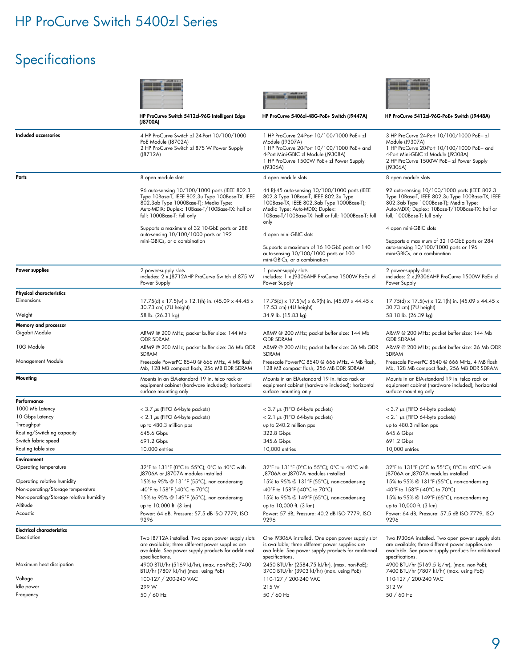# Specifications

|                                             | HP ProCurve Switch 5412zl-96G Intelligent Edge<br>(J8700A)                                                                                                                                                                   | HP ProCurve 5406zl-48G-PoE+ Switch (J9447A)                                                                                                                                                                                           | HP ProCurve 5412zl-96G-PoE+ Switch (J9448A)                                                                                                                                                                                  |
|---------------------------------------------|------------------------------------------------------------------------------------------------------------------------------------------------------------------------------------------------------------------------------|---------------------------------------------------------------------------------------------------------------------------------------------------------------------------------------------------------------------------------------|------------------------------------------------------------------------------------------------------------------------------------------------------------------------------------------------------------------------------|
|                                             |                                                                                                                                                                                                                              |                                                                                                                                                                                                                                       |                                                                                                                                                                                                                              |
| Included accessories                        | 4 HP ProCurve Switch zl 24-Port 10/100/1000<br>PoE Module (J8702A)<br>2 HP ProCurve Switch zl 875 W Power Supply<br>(J8712A)                                                                                                 | 1 HP ProCurve 24-Port 10/100/1000 PoE+ zl<br>Module (J9307A)<br>1 HP ProCurve 20-Port 10/100/1000 PoE+ and<br>4-Port Mini-GBIC zl Module (J9308A)<br>1 HP ProCurve 1500W PoE+ zl Power Supply<br>(J9306A)                             | 3 HP ProCurve 24-Port 10/100/1000 PoE+ zl<br>Module (J9307A)<br>1 HP ProCurve 20-Port 10/100/1000 PoE+ and<br>4-Port Mini-GBIC zl Module (J9308A)<br>2 HP ProCurve 1500W PoE+ zl Power Supply<br>(J9306A)                    |
| Ports                                       | 8 open module slots                                                                                                                                                                                                          | 4 open module slots                                                                                                                                                                                                                   | 8 open module slots                                                                                                                                                                                                          |
|                                             | 96 auto-sensing 10/100/1000 ports (IEEE 802.3<br>Type 10Base-T, IEEE 802.3u Type 100Base-TX, IEEE<br>802.3ab Type 1000Base-T); Media Type:<br>Auto-MDIX; Duplex: 10Base-T/100Base-TX: half or<br>full; 1000Base-T: full only | 44 RJ-45 auto-sensing 10/100/1000 ports (IEEE<br>802.3 Type 10Base-T, IEEE 802.3u Type<br>100Base-TX, IEEE 802.3ab Type 1000Base-T);<br>Media Type: Auto-MDIX; Duplex:<br>10Base-T/100Base-TX: half or full; 1000Base-T: full<br>only | 92 auto-sensing 10/100/1000 ports (IEEE 802.3<br>Type 10Base-T, IEEE 802.3u Type 100Base-TX, IEEE<br>802.3ab Type 1000Base-T); Media Type:<br>Auto-MDIX; Duplex: 10Base-T/100Base-TX: half or<br>full; 1000Base-T: full only |
|                                             | Supports a maximum of 32 10-GbE ports or 288<br>auto-sensing 10/100/1000 ports or 192                                                                                                                                        | 4 open mini-GBIC slots                                                                                                                                                                                                                | 4 open mini-GBIC slots                                                                                                                                                                                                       |
|                                             | mini-GBICs, or a combination                                                                                                                                                                                                 | Supports a maximum of 16 10-GbE ports or 140<br>auto-sensing 10/100/1000 ports or 100<br>mini-GBICs, or a combination                                                                                                                 | Supports a maximum of 32 10-GbE ports or 284<br>auto-sensing 10/100/1000 ports or 196<br>mini-GBICs, or a combination                                                                                                        |
| Power supplies                              | 2 power-supply slots<br>includes: 2 x J8712AHP ProCurve Switch zl 875 W<br>Power Supply                                                                                                                                      | 1 power-supply slots<br>includes: 1 x J9306AHP ProCurve 1500W PoE+ zl<br>Power Supply                                                                                                                                                 | 2 power-supply slots<br>includes: 2 x J9306AHP ProCurve 1500W PoE+ zl<br>Power Supply                                                                                                                                        |
| <b>Physical characteristics</b>             |                                                                                                                                                                                                                              |                                                                                                                                                                                                                                       |                                                                                                                                                                                                                              |
| Dimensions                                  | 17.75(d) x 17.5(w) x 12.1(h) in. (45.09 x 44.45 x<br>30.73 cm) (7U height)                                                                                                                                                   | 17.75(d) x 17.5(w) x 6.9(h) in. (45.09 x 44.45 x<br>17.53 cm) (4U height)                                                                                                                                                             | 17.75(d) x 17.5(w) x 12.1(h) in. (45.09 x 44.45 x<br>30.73 cm) (7U height)                                                                                                                                                   |
| Weight                                      | 58 lb. (26.31 kg)                                                                                                                                                                                                            | 34.9 lb. (15.83 kg)                                                                                                                                                                                                                   | 58.18 lb. (26.39 kg)                                                                                                                                                                                                         |
| Memory and processor<br>Gigabit Module      | ARM9 @ 200 MHz; packet buffer size: 144 Mb<br><b>QDR SDRAM</b>                                                                                                                                                               | ARM9 @ 200 MHz; packet buffer size: 144 Mb<br>QDR SDRAM                                                                                                                                                                               | ARM9 @ 200 MHz; packet buffer size: 144 Mb<br><b>QDR SDRAM</b>                                                                                                                                                               |
| 10G Module                                  | ARM9 @ 200 MHz; packet buffer size: 36 Mb QDR<br>SDRAM                                                                                                                                                                       | ARM9 @ 200 MHz; packet buffer size: 36 Mb QDR<br>SDRAM                                                                                                                                                                                | ARM9 @ 200 MHz; packet buffer size: 36 Mb QDR<br>SDRAM                                                                                                                                                                       |
| Management Module                           | Freescale PowerPC 8540 @ 666 MHz, 4 MB flash<br>Mb, 128 MB compact flash, 256 MB DDR SDRAM                                                                                                                                   | Freescale PowerPC 8540 @ 666 MHz, 4 MB flash,<br>128 MB compact flash, 256 MB DDR SDRAM                                                                                                                                               | Freescale PowerPC 8540 @ 666 MHz, 4 MB flash<br>Mb, 128 MB compact flash, 256 MB DDR SDRAM                                                                                                                                   |
| Mounting                                    | Mounts in an EIA-standard 19 in. telco rack or<br>equipment cabinet (hardware included); horizontal<br>surface mounting only                                                                                                 | Mounts in an EIA-standard 19 in. telco rack or<br>equipment cabinet (hardware included); horizontal<br>surface mounting only                                                                                                          | Mounts in an EIA-standard 19 in. telco rack or<br>equipment cabinet (hardware included); horizontal<br>surface mounting only                                                                                                 |
| Performance                                 |                                                                                                                                                                                                                              |                                                                                                                                                                                                                                       |                                                                                                                                                                                                                              |
| 1000 Mb Latency                             | $<$ 3.7 $\mu$ s (FIFO 64-byte packets)                                                                                                                                                                                       | $<$ 3.7 $\mu$ s (FIFO 64-byte packets)                                                                                                                                                                                                | $<$ 3.7 $\mu$ s (FIFO 64-byte packets)                                                                                                                                                                                       |
| 10 Gbps Latency                             | $< 2.1 \mu s$ (FIFO 64-byte packets)                                                                                                                                                                                         | $< 2.1 \mu s$ (FIFO 64-byte packets)                                                                                                                                                                                                  | $< 2.1 \mu s$ (FIFO 64-byte packets)                                                                                                                                                                                         |
| Throughput                                  | up to 480.3 million pps                                                                                                                                                                                                      | up to 240.2 million pps                                                                                                                                                                                                               | up to 480.3 million pps                                                                                                                                                                                                      |
| Routing/Switching capacity                  | 645.6 Gbps                                                                                                                                                                                                                   | 322.8 Gbps                                                                                                                                                                                                                            | 645.6 Gbps                                                                                                                                                                                                                   |
| Switch fabric speed<br>Routing table size   | 691.2 Gbps                                                                                                                                                                                                                   | 345.6 Gbps                                                                                                                                                                                                                            | 691.2 Gbps                                                                                                                                                                                                                   |
|                                             | 10,000 entries                                                                                                                                                                                                               | 10,000 entries                                                                                                                                                                                                                        | 10,000 entries                                                                                                                                                                                                               |
| <b>Environment</b><br>Operating temperature | 32°F to 131°F (0°C to 55°C); 0°C to 40°C with<br>J8706A or J8707A modules installed                                                                                                                                          | 32°F to 131°F (0°C to 55°C); 0°C to 40°C with<br>J8706A or J8707A modules installed                                                                                                                                                   | 32°F to 131°F (0°C to 55°C); 0°C to 40°C with<br>J8706A or J8707A modules installed                                                                                                                                          |
| Operating relative humidity                 | 15% to 95% @ 131°F (55°C), non-condensing                                                                                                                                                                                    | 15% to 95% @ 131°F (55°C), non-condensing                                                                                                                                                                                             | 15% to 95% @ 131°F (55°C), non-condensing                                                                                                                                                                                    |
| Non-operating/Storage temperature           | -40°F to 158°F (-40°C to 70°C)                                                                                                                                                                                               | -40°F to 158°F (-40°C to 70°C)                                                                                                                                                                                                        | -40°F to 158°F (-40°C to 70°C)                                                                                                                                                                                               |
| Non-operating/Storage relative humidity     | 15% to 95% @ 149°F (65°C), non-condensing                                                                                                                                                                                    | 15% to 95% @ 149°F (65°C), non-condensing                                                                                                                                                                                             | 15% to 95% @ 149°F (65°C), non-condensing                                                                                                                                                                                    |
| Altitude                                    | up to 10,000 ft. (3 km)                                                                                                                                                                                                      | up to 10,000 ft. (3 km)                                                                                                                                                                                                               | up to 10,000 ft. (3 km)                                                                                                                                                                                                      |
| Acoustic                                    | Power: 64 dB, Pressure: 57.5 dB ISO 7779, ISO<br>9296                                                                                                                                                                        | Power: 57 dB, Pressure: 40.2 dB ISO 7779, ISO<br>9296                                                                                                                                                                                 | Power: 64 dB, Pressure: 57.5 dB ISO 7779, ISO<br>9296                                                                                                                                                                        |
| <b>Electrical characteristics</b>           |                                                                                                                                                                                                                              |                                                                                                                                                                                                                                       |                                                                                                                                                                                                                              |
| Description                                 | Two J8712A installed. Two open power supply slots<br>are available; three different power supplies are<br>available. See power supply products for additional<br>specifications.                                             | One J9306A installed. One open power supply slot<br>is available; three different power supplies are<br>available. See power supply products for additional<br>specifications.                                                        | Two J9306A installed. Two open power supply slots<br>are available; three different power supplies are<br>available. See power supply products for additional<br>specifications.                                             |
| Maximum heat dissipation                    | 4900 BTU/hr (5169 kJ/hr), (max. non-PoE); 7400<br>BTU/hr (7807 kJ/hr) (max. using PoE)                                                                                                                                       | 2450 BTU/hr (2584.75 kJ/hr), (max. non-PoE);<br>3700 BTU/hr (3903 kJ/hr) (max. using PoE)                                                                                                                                             | 4900 BTU/hr (5169.5 kJ/hr), (max. non-PoE);<br>7400 BTU/hr (7807 kJ/hr) (max. using PoE)                                                                                                                                     |
| Voltage                                     | 100-127 / 200-240 VAC                                                                                                                                                                                                        | 110-127 / 200-240 VAC                                                                                                                                                                                                                 | 110-127 / 200-240 VAC                                                                                                                                                                                                        |
| Idle power                                  | 299 W                                                                                                                                                                                                                        | 215 W                                                                                                                                                                                                                                 | 312W                                                                                                                                                                                                                         |
| Frequency                                   | 50 / 60 Hz                                                                                                                                                                                                                   | 50 / 60 Hz                                                                                                                                                                                                                            | 50 / 60 Hz                                                                                                                                                                                                                   |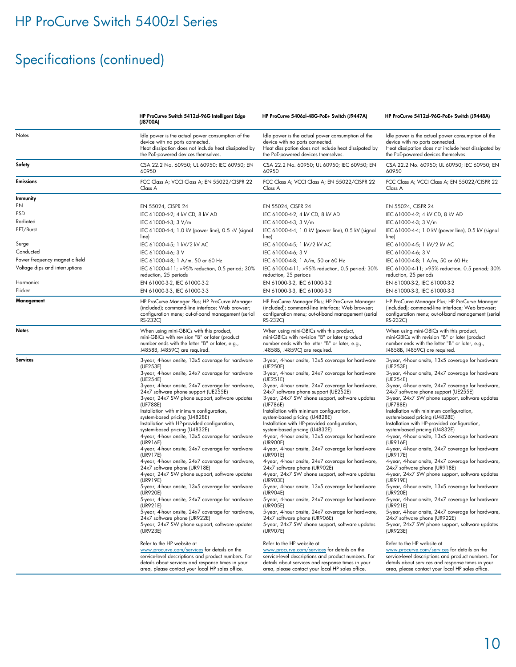# Specifications (continued)

|                                | HP ProCurve Switch 5412zl-96G Intelligent Edge<br>(J8700A)                                                                                                                                                                                                                                                                                                                                                                                                                                                                                                                                                                                                                                                                                                                                                                                                                                                                                                                                                                                                                                                            | HP ProCurve 5406zl-48G-PoE+ Switch (J9447A)                                                                                                                                                                                                                                                                                                                                                                                                                                                                                                                                                                                                                                                                                                                                                                                                                                                                                                                                                                                                                                                                           | HP ProCurve 5412zl-96G-PoE+ Switch (J9448A)                                                                                                                                                                                                                                                                                                                                                                                                                                                                                                                                                                                                                                                                                                                                                                                                                                                                                                                                                                                                                                                                           |
|--------------------------------|-----------------------------------------------------------------------------------------------------------------------------------------------------------------------------------------------------------------------------------------------------------------------------------------------------------------------------------------------------------------------------------------------------------------------------------------------------------------------------------------------------------------------------------------------------------------------------------------------------------------------------------------------------------------------------------------------------------------------------------------------------------------------------------------------------------------------------------------------------------------------------------------------------------------------------------------------------------------------------------------------------------------------------------------------------------------------------------------------------------------------|-----------------------------------------------------------------------------------------------------------------------------------------------------------------------------------------------------------------------------------------------------------------------------------------------------------------------------------------------------------------------------------------------------------------------------------------------------------------------------------------------------------------------------------------------------------------------------------------------------------------------------------------------------------------------------------------------------------------------------------------------------------------------------------------------------------------------------------------------------------------------------------------------------------------------------------------------------------------------------------------------------------------------------------------------------------------------------------------------------------------------|-----------------------------------------------------------------------------------------------------------------------------------------------------------------------------------------------------------------------------------------------------------------------------------------------------------------------------------------------------------------------------------------------------------------------------------------------------------------------------------------------------------------------------------------------------------------------------------------------------------------------------------------------------------------------------------------------------------------------------------------------------------------------------------------------------------------------------------------------------------------------------------------------------------------------------------------------------------------------------------------------------------------------------------------------------------------------------------------------------------------------|
| Notes                          | Idle power is the actual power consumption of the<br>device with no ports connected.<br>Heat dissipation does not include heat dissipated by<br>the PoE-powered devices themselves.                                                                                                                                                                                                                                                                                                                                                                                                                                                                                                                                                                                                                                                                                                                                                                                                                                                                                                                                   | Idle power is the actual power consumption of the<br>device with no ports connected.<br>Heat dissipation does not include heat dissipated by<br>the PoE-powered devices themselves.                                                                                                                                                                                                                                                                                                                                                                                                                                                                                                                                                                                                                                                                                                                                                                                                                                                                                                                                   | Idle power is the actual power consumption of the<br>device with no ports connected.<br>Heat dissipation does not include heat dissipated by<br>the PoE-powered devices themselves.                                                                                                                                                                                                                                                                                                                                                                                                                                                                                                                                                                                                                                                                                                                                                                                                                                                                                                                                   |
| Safety                         | CSA 22.2 No. 60950; UL 60950; IEC 60950; EN<br>60950                                                                                                                                                                                                                                                                                                                                                                                                                                                                                                                                                                                                                                                                                                                                                                                                                                                                                                                                                                                                                                                                  | CSA 22.2 No. 60950; UL 60950; IEC 60950; EN<br>60950                                                                                                                                                                                                                                                                                                                                                                                                                                                                                                                                                                                                                                                                                                                                                                                                                                                                                                                                                                                                                                                                  | CSA 22.2 No. 60950; UL 60950; IEC 60950; EN<br>60950                                                                                                                                                                                                                                                                                                                                                                                                                                                                                                                                                                                                                                                                                                                                                                                                                                                                                                                                                                                                                                                                  |
| <b>Emissions</b>               | FCC Class A; VCCI Class A; EN 55022/CISPR 22<br>Class A                                                                                                                                                                                                                                                                                                                                                                                                                                                                                                                                                                                                                                                                                                                                                                                                                                                                                                                                                                                                                                                               | FCC Class A; VCCI Class A; EN 55022/CISPR 22<br>Class A                                                                                                                                                                                                                                                                                                                                                                                                                                                                                                                                                                                                                                                                                                                                                                                                                                                                                                                                                                                                                                                               | FCC Class A; VCCI Class A; EN 55022/CISPR 22<br>Class A                                                                                                                                                                                                                                                                                                                                                                                                                                                                                                                                                                                                                                                                                                                                                                                                                                                                                                                                                                                                                                                               |
| Immunity                       |                                                                                                                                                                                                                                                                                                                                                                                                                                                                                                                                                                                                                                                                                                                                                                                                                                                                                                                                                                                                                                                                                                                       |                                                                                                                                                                                                                                                                                                                                                                                                                                                                                                                                                                                                                                                                                                                                                                                                                                                                                                                                                                                                                                                                                                                       |                                                                                                                                                                                                                                                                                                                                                                                                                                                                                                                                                                                                                                                                                                                                                                                                                                                                                                                                                                                                                                                                                                                       |
| EN                             | EN 55024, CISPR 24                                                                                                                                                                                                                                                                                                                                                                                                                                                                                                                                                                                                                                                                                                                                                                                                                                                                                                                                                                                                                                                                                                    | EN 55024, CISPR 24                                                                                                                                                                                                                                                                                                                                                                                                                                                                                                                                                                                                                                                                                                                                                                                                                                                                                                                                                                                                                                                                                                    | EN 55024, CISPR 24                                                                                                                                                                                                                                                                                                                                                                                                                                                                                                                                                                                                                                                                                                                                                                                                                                                                                                                                                                                                                                                                                                    |
| ESD                            | IEC 61000-4-2; 4 kV CD, 8 kV AD                                                                                                                                                                                                                                                                                                                                                                                                                                                                                                                                                                                                                                                                                                                                                                                                                                                                                                                                                                                                                                                                                       | IEC 61000-4-2; 4 kV CD, 8 kV AD                                                                                                                                                                                                                                                                                                                                                                                                                                                                                                                                                                                                                                                                                                                                                                                                                                                                                                                                                                                                                                                                                       | IEC 61000-4-2; 4 kV CD, 8 kV AD                                                                                                                                                                                                                                                                                                                                                                                                                                                                                                                                                                                                                                                                                                                                                                                                                                                                                                                                                                                                                                                                                       |
| Radiated                       | IEC 61000-4-3; 3 V/m                                                                                                                                                                                                                                                                                                                                                                                                                                                                                                                                                                                                                                                                                                                                                                                                                                                                                                                                                                                                                                                                                                  | IEC 61000-4-3; 3 V/m                                                                                                                                                                                                                                                                                                                                                                                                                                                                                                                                                                                                                                                                                                                                                                                                                                                                                                                                                                                                                                                                                                  | IEC 61000-4-3; 3 V/m                                                                                                                                                                                                                                                                                                                                                                                                                                                                                                                                                                                                                                                                                                                                                                                                                                                                                                                                                                                                                                                                                                  |
| EFT/Burst                      | IEC 61000-4-4; 1.0 kV (power line), 0.5 kV (signal<br>line)                                                                                                                                                                                                                                                                                                                                                                                                                                                                                                                                                                                                                                                                                                                                                                                                                                                                                                                                                                                                                                                           | IEC 61000-4-4; 1.0 kV (power line), 0.5 kV (signal<br>line)                                                                                                                                                                                                                                                                                                                                                                                                                                                                                                                                                                                                                                                                                                                                                                                                                                                                                                                                                                                                                                                           | IEC 61000-4-4; 1.0 kV (power line), 0.5 kV (signal<br>line)                                                                                                                                                                                                                                                                                                                                                                                                                                                                                                                                                                                                                                                                                                                                                                                                                                                                                                                                                                                                                                                           |
| Surge                          | IEC 61000-4-5; 1 kV/2 kV AC                                                                                                                                                                                                                                                                                                                                                                                                                                                                                                                                                                                                                                                                                                                                                                                                                                                                                                                                                                                                                                                                                           | IEC 61000-4-5; 1 kV/2 kV AC                                                                                                                                                                                                                                                                                                                                                                                                                                                                                                                                                                                                                                                                                                                                                                                                                                                                                                                                                                                                                                                                                           | IEC 61000-4-5; 1 kV/2 kV AC                                                                                                                                                                                                                                                                                                                                                                                                                                                                                                                                                                                                                                                                                                                                                                                                                                                                                                                                                                                                                                                                                           |
| Conducted                      | IEC 61000-4-6; 3 V                                                                                                                                                                                                                                                                                                                                                                                                                                                                                                                                                                                                                                                                                                                                                                                                                                                                                                                                                                                                                                                                                                    | IEC 61000-4-6; 3 V                                                                                                                                                                                                                                                                                                                                                                                                                                                                                                                                                                                                                                                                                                                                                                                                                                                                                                                                                                                                                                                                                                    | IEC 61000-4-6; 3 V                                                                                                                                                                                                                                                                                                                                                                                                                                                                                                                                                                                                                                                                                                                                                                                                                                                                                                                                                                                                                                                                                                    |
| Power frequency magnetic field | IEC 61000-4-8; 1 A/m, 50 or 60 Hz                                                                                                                                                                                                                                                                                                                                                                                                                                                                                                                                                                                                                                                                                                                                                                                                                                                                                                                                                                                                                                                                                     | IEC 61000-4-8; 1 A/m, 50 or 60 Hz                                                                                                                                                                                                                                                                                                                                                                                                                                                                                                                                                                                                                                                                                                                                                                                                                                                                                                                                                                                                                                                                                     | IEC 61000-4-8; 1 A/m, 50 or 60 Hz                                                                                                                                                                                                                                                                                                                                                                                                                                                                                                                                                                                                                                                                                                                                                                                                                                                                                                                                                                                                                                                                                     |
| Voltage dips and interruptions | IEC 61000-4-11; >95% reduction, 0.5 period; 30%<br>reduction, 25 periods                                                                                                                                                                                                                                                                                                                                                                                                                                                                                                                                                                                                                                                                                                                                                                                                                                                                                                                                                                                                                                              | IEC 61000-4-11; >95% reduction, 0.5 period; 30%<br>reduction, 25 periods                                                                                                                                                                                                                                                                                                                                                                                                                                                                                                                                                                                                                                                                                                                                                                                                                                                                                                                                                                                                                                              | IEC 61000-4-11; >95% reduction, 0.5 period; 30%<br>reduction, 25 periods                                                                                                                                                                                                                                                                                                                                                                                                                                                                                                                                                                                                                                                                                                                                                                                                                                                                                                                                                                                                                                              |
| Harmonics                      | EN 61000-3-2, IEC 61000-3-2                                                                                                                                                                                                                                                                                                                                                                                                                                                                                                                                                                                                                                                                                                                                                                                                                                                                                                                                                                                                                                                                                           | EN 61000-3-2, IEC 61000-3-2                                                                                                                                                                                                                                                                                                                                                                                                                                                                                                                                                                                                                                                                                                                                                                                                                                                                                                                                                                                                                                                                                           | EN 61000-3-2, IEC 61000-3-2                                                                                                                                                                                                                                                                                                                                                                                                                                                                                                                                                                                                                                                                                                                                                                                                                                                                                                                                                                                                                                                                                           |
| Flicker                        | EN 61000-3-3, IEC 61000-3-3                                                                                                                                                                                                                                                                                                                                                                                                                                                                                                                                                                                                                                                                                                                                                                                                                                                                                                                                                                                                                                                                                           | EN 61000-3-3, IEC 61000-3-3                                                                                                                                                                                                                                                                                                                                                                                                                                                                                                                                                                                                                                                                                                                                                                                                                                                                                                                                                                                                                                                                                           | EN 61000-3-3, IEC 61000-3-3                                                                                                                                                                                                                                                                                                                                                                                                                                                                                                                                                                                                                                                                                                                                                                                                                                                                                                                                                                                                                                                                                           |
| Management                     | HP ProCurve Manager Plus; HP ProCurve Manager<br>(included); command-line interface; Web browser;<br>configuration menu; out-of-band management (serial<br>RS-232C)                                                                                                                                                                                                                                                                                                                                                                                                                                                                                                                                                                                                                                                                                                                                                                                                                                                                                                                                                   | HP ProCurve Manager Plus; HP ProCurve Manager<br>(included); command-line interface; Web browser;<br>configuration menu; out-of-band management (serial<br>RS-232C)                                                                                                                                                                                                                                                                                                                                                                                                                                                                                                                                                                                                                                                                                                                                                                                                                                                                                                                                                   | HP ProCurve Manager Plus; HP ProCurve Manager<br>(included); command-line interface; Web browser;<br>configuration menu; out-of-band management (serial<br>RS-232C)                                                                                                                                                                                                                                                                                                                                                                                                                                                                                                                                                                                                                                                                                                                                                                                                                                                                                                                                                   |
| <b>Notes</b>                   | When using mini-GBICs with this product,<br>mini-GBICs with revision "B" or later (product<br>number ends with the letter "B" or later, e.g.,<br>J4858B, J4859C) are required.                                                                                                                                                                                                                                                                                                                                                                                                                                                                                                                                                                                                                                                                                                                                                                                                                                                                                                                                        | When using mini-GBICs with this product,<br>mini-GBICs with revision "B" or later (product<br>number ends with the letter "B" or later, e.g.,<br>J4858B, J4859C) are required.                                                                                                                                                                                                                                                                                                                                                                                                                                                                                                                                                                                                                                                                                                                                                                                                                                                                                                                                        | When using mini-GBICs with this product,<br>mini-GBICs with revision "B" or later (product<br>number ends with the letter "B" or later, e.g.,<br>J4858B, J4859C) are required.                                                                                                                                                                                                                                                                                                                                                                                                                                                                                                                                                                                                                                                                                                                                                                                                                                                                                                                                        |
| Services                       | 3-year, 4-hour onsite, 13x5 coverage for hardware<br>(UE253E)<br>3-year, 4-hour onsite, 24x7 coverage for hardware<br>(UE254E)<br>3-year, 4-hour onsite, 24x7 coverage for hardware,<br>24x7 software phone support (UE255E)<br>3-year, 24x7 SW phone support, software updates<br>(UF788E)<br>Installation with minimum configuration,<br>system-based pricing (U4828E)<br>Installation with HP-provided configuration,<br>system-based pricing (U4832E)<br>4-year, 4-hour onsite, 13x5 coverage for hardware<br>(UR916E)<br>4-year, 4-hour onsite, 24x7 coverage for hardware<br>(UR917E)<br>4-year, 4-hour onsite, 24x7 coverage for hardware,<br>24x7 software phone (UR918E)<br>4-year, 24x7 SW phone support, software updates<br>(UR919E)<br>5-year, 4-hour onsite, 13x5 coverage for hardware<br>(UR920E)<br>5-year, 4-hour onsite, 24x7 coverage for hardware<br>(UR921E)<br>5-year, 4-hour onsite, 24x7 coverage for hardware,<br>24x7 software phone (UR922E)<br>5-year, 24x7 SW phone support, software updates<br>(UR923E)<br>Refer to the HP website at<br>www.procurve.com/services for details on the | 3-year, 4-hour onsite, 13x5 coverage for hardware<br>(UE250E)<br>3-year, 4-hour onsite, 24x7 coverage for hardware<br>(UE251E)<br>3-year, 4-hour onsite, 24x7 coverage for hardware,<br>24x7 software phone support (UE252E)<br>3-year, 24x7 SW phone support, software updates<br>(UF786E)<br>Installation with minimum configuration,<br>system-based pricing (U4828E)<br>Installation with HP-provided configuration,<br>system-based pricing (U4832E)<br>4-year, 4-hour onsite, 13x5 coverage for hardware<br>(UR900E)<br>4-year, 4-hour onsite, 24x7 coverage for hardware<br>(UR901E)<br>4-year, 4-hour onsite, 24x7 coverage for hardware,<br>24x7 software phone (UR902E)<br>4-year, 24x7 SW phone support, software updates<br>(UR903E)<br>5-year, 4-hour onsite, 13x5 coverage for hardware<br>(UR904E)<br>5-year, 4-hour onsite, 24x7 coverage for hardware<br>(UR905E)<br>5-year, 4-hour onsite, 24x7 coverage for hardware,<br>24x7 software phone (UR906E)<br>5-year, 24x7 SW phone support, software updates<br>(UR907E)<br>Refer to the HP website at<br>www.procurve.com/services for details on the | 3-year, 4-hour onsite, 13x5 coverage for hardware<br>(UE253E)<br>3-year, 4-hour onsite, 24x7 coverage for hardware<br>(UE254E)<br>3-year, 4-hour onsite, 24x7 coverage for hardware,<br>24x7 software phone support (UE255E)<br>3-year, 24x7 SW phone support, software updates<br>(UF788E)<br>Installation with minimum configuration,<br>system-based pricing (U4828E)<br>Installation with HP-provided configuration,<br>system-based pricing (U4832E)<br>4-year, 4-hour onsite, 13x5 coverage for hardware<br>(UR916E)<br>4-year, 4-hour onsite, 24x7 coverage for hardware<br>(UR917E)<br>4-year, 4-hour onsite, 24x7 coverage for hardware,<br>24x7 software phone (UR918E)<br>4-year, 24x7 SW phone support, software updates<br>(UR919E)<br>5-year, 4-hour onsite, 13x5 coverage for hardware<br>(UR920E)<br>5-year, 4-hour onsite, 24x7 coverage for hardware<br>(UR921E)<br>5-year, 4-hour onsite, 24x7 coverage for hardware,<br>24x7 software phone (UR922E)<br>5-year, 24x7 SW phone support, software updates<br>(UR923E)<br>Refer to the HP website at<br>www.procurve.com/services for details on the |
|                                | service-level descriptions and product numbers. For<br>details about services and response times in your<br>area, please contact your local HP sales office.                                                                                                                                                                                                                                                                                                                                                                                                                                                                                                                                                                                                                                                                                                                                                                                                                                                                                                                                                          | service-level descriptions and product numbers. For<br>details about services and response times in your<br>area, please contact your local HP sales office.                                                                                                                                                                                                                                                                                                                                                                                                                                                                                                                                                                                                                                                                                                                                                                                                                                                                                                                                                          | service-level descriptions and product numbers. For<br>details about services and response times in your<br>area, please contact your local HP sales office.                                                                                                                                                                                                                                                                                                                                                                                                                                                                                                                                                                                                                                                                                                                                                                                                                                                                                                                                                          |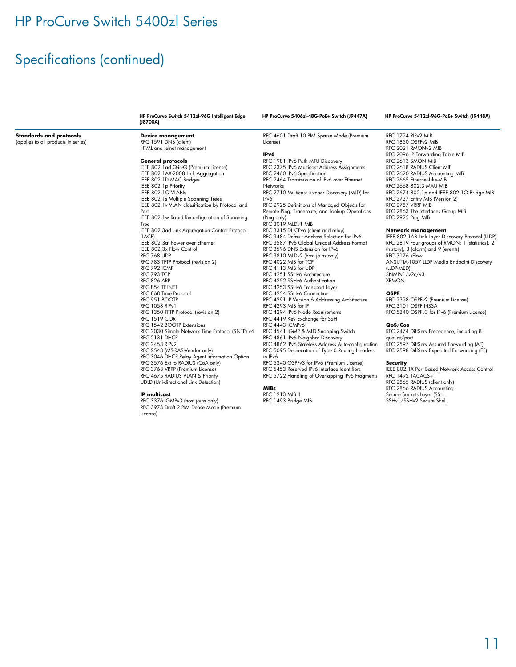## Specifications (continued)

**Standards and protocols** (applies to all products in series)

#### HP ProCurve Switch 5412zl-96G Intelligent Edge (J8700A)

IEEE 802.1ad Q-in-Q (Premium License) IEEE 802.1AX-2008 Link Aggregation IEEE 802.1D MAC Bridges IEEE 802.1p Priority IEEE 802.1Q VLANs

IEEE 802.1s Multiple Spanning Trees IEEE 802.1v VLAN classification by Protocol and

IEEE 802.3af Power over Ethernet IEEE 802.3x Flow Control RFC 768 UDP

RFC 783 TFTP Protocol (revision 2)

RFC 1350 TFTP Protocol (revision 2)

RFC 2548 (MS-RAS-Vendor only)

IEEE 802.1w Rapid Reconfiguration of Spanning

IEEE 802.3ad Link Aggregation Control Protocol

**Device management** RFC 1591 DNS (client) HTML and telnet management **General protocols**

Port

Tree

(LACP)

RFC 792 ICMP RFC 793 TCP RFC 826 ARP RFC 854 TELNET RFC 868 Time Protocol RFC 951 BOOTP RFC 1058 RIPv1

RFC 1519 CIDR RFC 1542 BOOTP Extensions

RFC 2131 DHCP RFC 2453 RIPv2

RFC 4601 Draft 10 PIM Sparse Mode (Premium License)

#### **IPv6**

RFC 1981 IPv6 Path MTU Discovery RFC 2375 IPv6 Multicast Address Assignments RFC 2460 IPv6 Specification RFC 2464 Transmission of IPv6 over Ethernet Networks RFC 2710 Multicast Listener Discovery (MLD) for IPv6 RFC 2925 Definitions of Managed Objects for Remote Ping, Traceroute, and Lookup Operations (Ping only) RFC 3019 MLDv1 MIB RFC 3315 DHCPv6 (client and relay) RFC 3484 Default Address Selection for IPv6 RFC 3587 IPv6 Global Unicast Address Format RFC 3596 DNS Extension for IPv6 RFC 3810 MLDv2 (host joins only) RFC 4022 MIB for TCP RFC 4113 MIB for UDP RFC 4251 SSHv6 Architecture RFC 4252 SSHv6 Authentication RFC 4253 SSHv6 Transport Layer RFC 4254 SSHv6 Connection RFC 4291 IP Version 6 Addressing Architecture RFC 4293 MIB for IP RFC 4294 IPv6 Node Requirements RFC 4419 Key Exchange for SSH RFC 4443 ICMPv6 RFC 4541 IGMP & MLD Snooping Switch RFC 4861 IPv6 Neighbor Discovery RFC 4862 IPv6 Stateless Address Auto-configuration RFC 5095 Deprecation of Type 0 Routing Headers RFC 5340 OSPFv3 for IPv6 (Premium License) RFC 5453 Reserved IPv6 Interface Identifiers RFC 5722 Handling of Overlapping IPv6 Fragments **MIBs** RFC 1213 MIB II RFC 1493 Bridge MIB

### HP ProCurve 5406zl-48G-PoE+ Switch (J9447A) HP ProCurve 5412zl-96G-PoE+ Switch (J9448A)

RFC 1724 RIPv2 MIB RFC 1850 OSPFv2 MIB RFC 2021 RMONv2 MIB RFC 2096 IP Forwarding Table MIB RFC 2613 SMON MIB RFC 2618 RADIUS Client MIB RFC 2620 RADIUS Accounting MIB RFC 2665 Ethernet-Like-MIB RFC 2668 802.3 MAU MIB RFC 2674 802.1p and IEEE 802.1Q Bridge MIB RFC 2737 Entity MIB (Version 2) RFC 2787 VRRP MIB RFC 2863 The Interfaces Group MIB RFC 2925 Ping MIB

### **Network management**

IEEE 802.1AB Link Layer Discovery Protocol (LLDP) RFC 2819 Four groups of RMON: 1 (statistics), 2 (history), 3 (alarm) and 9 (events) RFC 3176 sFlow ANSI/TIA-1057 LLDP Media Endpoint Discovery (LLDP-MED) SNMPv1/v2c/v3 XRMON

### **OSPF**

RFC 2328 OSPFv2 (Premium License) RFC 3101 OSPF NSSA RFC 5340 OSPFv3 for IPv6 (Premium License)

#### **QoS/Cos**

RFC 2474 DiffServ Precedence, including 8 queues/port RFC 2597 DiffServ Assured Forwarding (AF) RFC 2598 DiffServ Expedited Forwarding (EF)

#### **Security**

IEEE 802.1X Port Based Network Access Control

RFC 1492 TACACS+ RFC 2865 RADIUS (client only)

RFC 2866 RADIUS Accounting

Secure Sockets Layer (SSL)

SSHv1/SSHv2 Secure Shell

RFC 3376 IGMPv3 (host joins only)

RFC 2030 Simple Network Time Protocol (SNTP) v4 RFC 3046 DHCP Relay Agent Information Option RFC 3576 Ext to RADIUS (CoA only) RFC 3768 VRRP (Premium License) RFC 4675 RADIUS VLAN & Priority UDLD (Uni-directional Link Detection) in IPv6

### **IP multicast**

RFC 3973 Draft 2 PIM Dense Mode (Premium License)